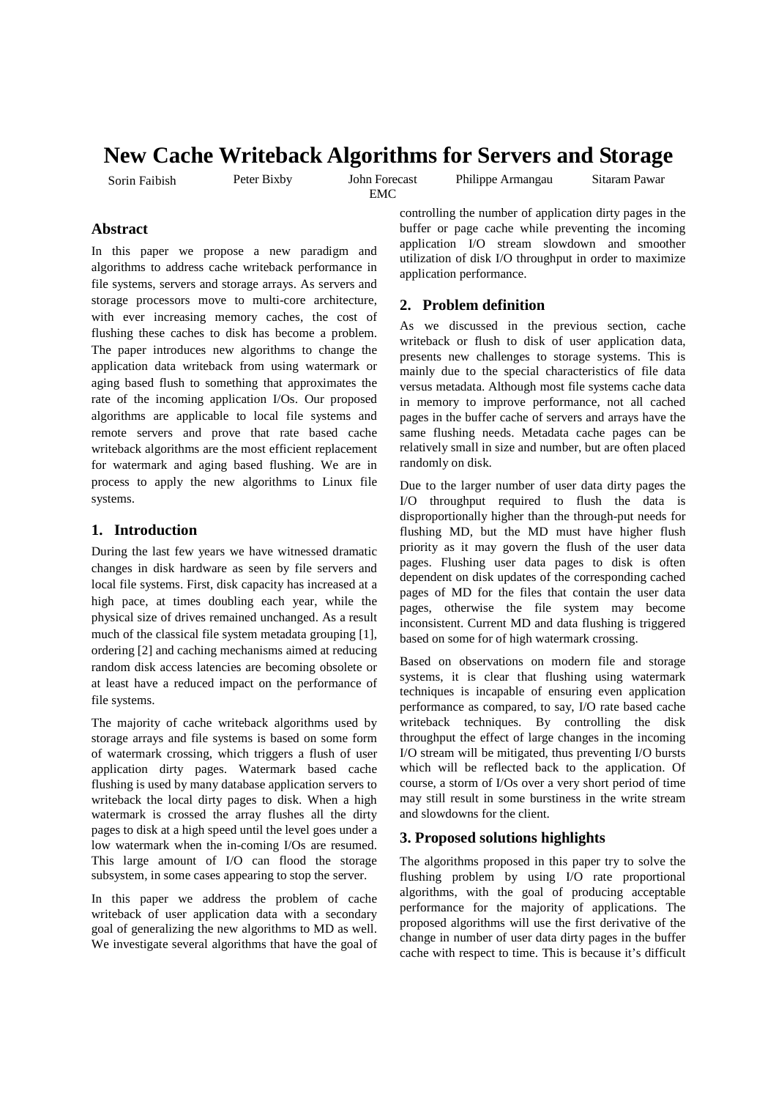# **New Cache Writeback Algorithms for Servers and Storage**

Sorin Faibish Peter Bixby John Forecast

EMC

Philippe Armangau Sitaram Pawar

## **Abstract**

In this paper we propose a new paradigm and algorithms to address cache writeback performance in file systems, servers and storage arrays. As servers and storage processors move to multi-core architecture, with ever increasing memory caches, the cost of flushing these caches to disk has become a problem. The paper introduces new algorithms to change the application data writeback from using watermark or aging based flush to something that approximates the rate of the incoming application I/Os. Our proposed algorithms are applicable to local file systems and remote servers and prove that rate based cache writeback algorithms are the most efficient replacement for watermark and aging based flushing. We are in process to apply the new algorithms to Linux file systems.

#### **1. Introduction**

During the last few years we have witnessed dramatic changes in disk hardware as seen by file servers and local file systems. First, disk capacity has increased at a high pace, at times doubling each year, while the physical size of drives remained unchanged. As a result much of the classical file system metadata grouping [1], ordering [2] and caching mechanisms aimed at reducing random disk access latencies are becoming obsolete or at least have a reduced impact on the performance of file systems.

The majority of cache writeback algorithms used by storage arrays and file systems is based on some form of watermark crossing, which triggers a flush of user application dirty pages. Watermark based cache flushing is used by many database application servers to writeback the local dirty pages to disk. When a high watermark is crossed the array flushes all the dirty pages to disk at a high speed until the level goes under a low watermark when the in-coming I/Os are resumed. This large amount of I/O can flood the storage subsystem, in some cases appearing to stop the server.

In this paper we address the problem of cache writeback of user application data with a secondary goal of generalizing the new algorithms to MD as well. We investigate several algorithms that have the goal of controlling the number of application dirty pages in the buffer or page cache while preventing the incoming application I/O stream slowdown and smoother utilization of disk I/O throughput in order to maximize application performance.

## **2. Problem definition**

As we discussed in the previous section, cache writeback or flush to disk of user application data, presents new challenges to storage systems. This is mainly due to the special characteristics of file data versus metadata. Although most file systems cache data in memory to improve performance, not all cached pages in the buffer cache of servers and arrays have the same flushing needs. Metadata cache pages can be relatively small in size and number, but are often placed randomly on disk.

Due to the larger number of user data dirty pages the I/O throughput required to flush the data is disproportionally higher than the through-put needs for flushing MD, but the MD must have higher flush priority as it may govern the flush of the user data pages. Flushing user data pages to disk is often dependent on disk updates of the corresponding cached pages of MD for the files that contain the user data pages, otherwise the file system may become inconsistent. Current MD and data flushing is triggered based on some for of high watermark crossing.

Based on observations on modern file and storage systems, it is clear that flushing using watermark techniques is incapable of ensuring even application performance as compared, to say, I/O rate based cache writeback techniques. By controlling the disk throughput the effect of large changes in the incoming I/O stream will be mitigated, thus preventing I/O bursts which will be reflected back to the application. Of course, a storm of I/Os over a very short period of time may still result in some burstiness in the write stream and slowdowns for the client.

### **3. Proposed solutions highlights**

The algorithms proposed in this paper try to solve the flushing problem by using I/O rate proportional algorithms, with the goal of producing acceptable performance for the majority of applications. The proposed algorithms will use the first derivative of the change in number of user data dirty pages in the buffer cache with respect to time. This is because it's difficult